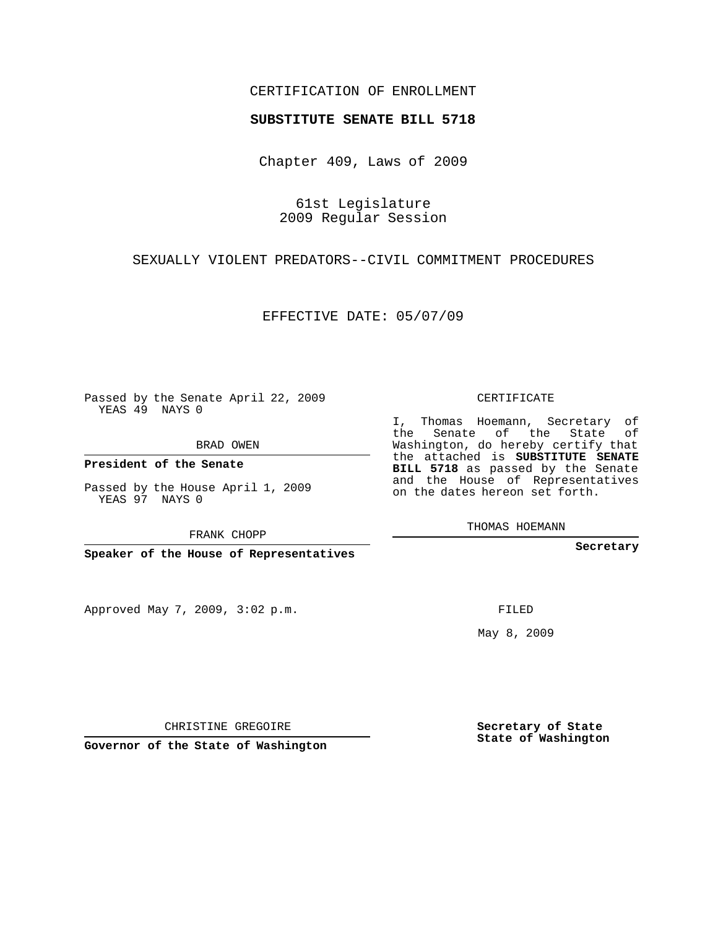## CERTIFICATION OF ENROLLMENT

## **SUBSTITUTE SENATE BILL 5718**

Chapter 409, Laws of 2009

61st Legislature 2009 Regular Session

SEXUALLY VIOLENT PREDATORS--CIVIL COMMITMENT PROCEDURES

EFFECTIVE DATE: 05/07/09

Passed by the Senate April 22, 2009 YEAS 49 NAYS 0

BRAD OWEN

**President of the Senate**

Passed by the House April 1, 2009 YEAS 97 NAYS 0

FRANK CHOPP

**Speaker of the House of Representatives**

Approved May 7, 2009, 3:02 p.m.

CERTIFICATE

I, Thomas Hoemann, Secretary of the Senate of the State of Washington, do hereby certify that the attached is **SUBSTITUTE SENATE BILL 5718** as passed by the Senate and the House of Representatives on the dates hereon set forth.

THOMAS HOEMANN

**Secretary**

FILED

May 8, 2009

**Secretary of State State of Washington**

CHRISTINE GREGOIRE

**Governor of the State of Washington**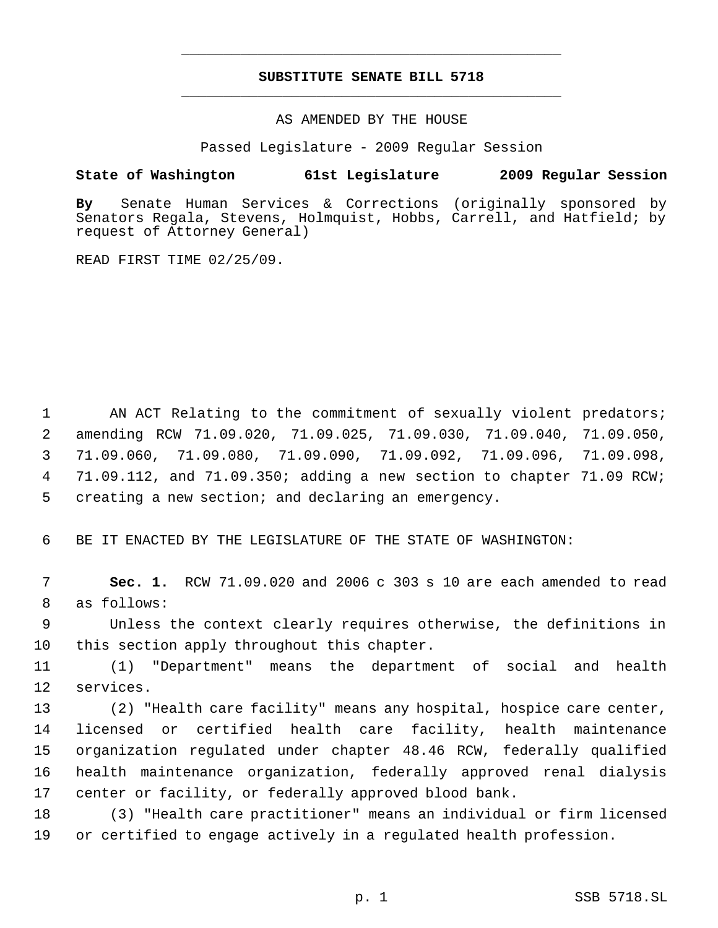## **SUBSTITUTE SENATE BILL 5718** \_\_\_\_\_\_\_\_\_\_\_\_\_\_\_\_\_\_\_\_\_\_\_\_\_\_\_\_\_\_\_\_\_\_\_\_\_\_\_\_\_\_\_\_\_

\_\_\_\_\_\_\_\_\_\_\_\_\_\_\_\_\_\_\_\_\_\_\_\_\_\_\_\_\_\_\_\_\_\_\_\_\_\_\_\_\_\_\_\_\_

AS AMENDED BY THE HOUSE

Passed Legislature - 2009 Regular Session

## **State of Washington 61st Legislature 2009 Regular Session**

**By** Senate Human Services & Corrections (originally sponsored by Senators Regala, Stevens, Holmquist, Hobbs, Carrell, and Hatfield; by request of Attorney General)

READ FIRST TIME 02/25/09.

1 AN ACT Relating to the commitment of sexually violent predators; amending RCW 71.09.020, 71.09.025, 71.09.030, 71.09.040, 71.09.050, 71.09.060, 71.09.080, 71.09.090, 71.09.092, 71.09.096, 71.09.098, 71.09.112, and 71.09.350; adding a new section to chapter 71.09 RCW; creating a new section; and declaring an emergency.

6 BE IT ENACTED BY THE LEGISLATURE OF THE STATE OF WASHINGTON:

 7 **Sec. 1.** RCW 71.09.020 and 2006 c 303 s 10 are each amended to read 8 as follows:

 9 Unless the context clearly requires otherwise, the definitions in 10 this section apply throughout this chapter.

11 (1) "Department" means the department of social and health 12 services.

 (2) "Health care facility" means any hospital, hospice care center, licensed or certified health care facility, health maintenance organization regulated under chapter 48.46 RCW, federally qualified health maintenance organization, federally approved renal dialysis center or facility, or federally approved blood bank.

18 (3) "Health care practitioner" means an individual or firm licensed 19 or certified to engage actively in a regulated health profession.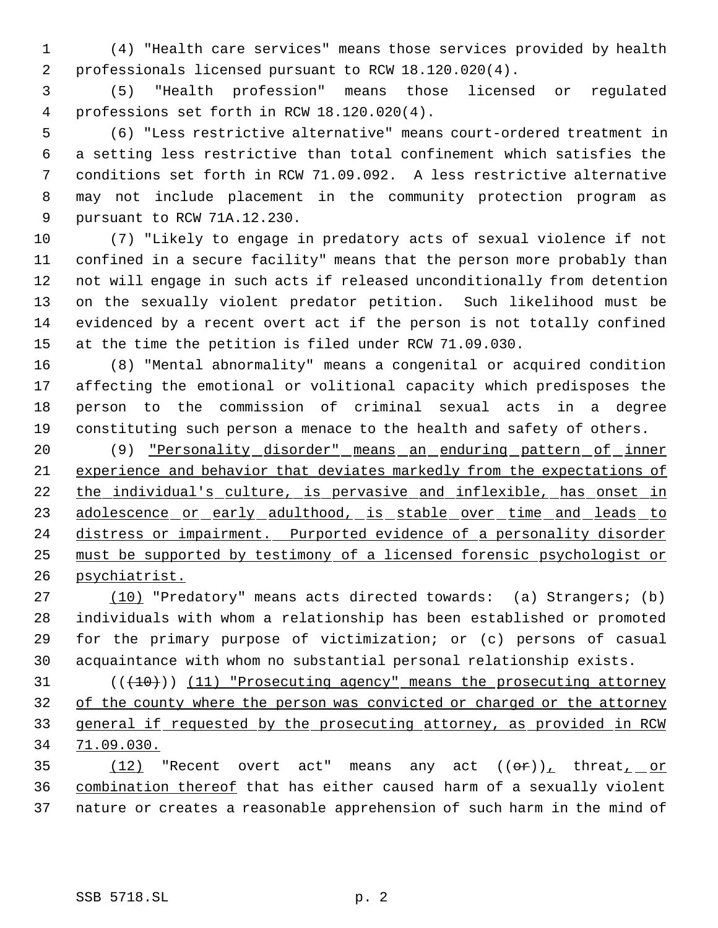(4) "Health care services" means those services provided by health professionals licensed pursuant to RCW 18.120.020(4).

 (5) "Health profession" means those licensed or regulated professions set forth in RCW 18.120.020(4).

 (6) "Less restrictive alternative" means court-ordered treatment in a setting less restrictive than total confinement which satisfies the conditions set forth in RCW 71.09.092. A less restrictive alternative may not include placement in the community protection program as pursuant to RCW 71A.12.230.

 (7) "Likely to engage in predatory acts of sexual violence if not confined in a secure facility" means that the person more probably than not will engage in such acts if released unconditionally from detention on the sexually violent predator petition. Such likelihood must be evidenced by a recent overt act if the person is not totally confined at the time the petition is filed under RCW 71.09.030.

 (8) "Mental abnormality" means a congenital or acquired condition affecting the emotional or volitional capacity which predisposes the person to the commission of criminal sexual acts in a degree constituting such person a menace to the health and safety of others.

 (9) "Personality disorder" means an enduring pattern of inner experience and behavior that deviates markedly from the expectations of 22 the individual's culture, is pervasive and inflexible, has onset in 23 adolescence or early adulthood, is stable over time and leads to distress or impairment. Purported evidence of a personality disorder must be supported by testimony of a licensed forensic psychologist or psychiatrist.

 (10) "Predatory" means acts directed towards: (a) Strangers; (b) individuals with whom a relationship has been established or promoted for the primary purpose of victimization; or (c) persons of casual acquaintance with whom no substantial personal relationship exists.

31 (( $(10)$ )) (11) "Prosecuting agency" means the prosecuting attorney of the county where the person was convicted or charged or the attorney 33 general if requested by the prosecuting attorney, as provided in RCW 71.09.030.

35  $(12)$  "Recent overt act" means any act  $((\theta \hat{r}))_+$  threat<sub>t or</sub> combination thereof that has either caused harm of a sexually violent nature or creates a reasonable apprehension of such harm in the mind of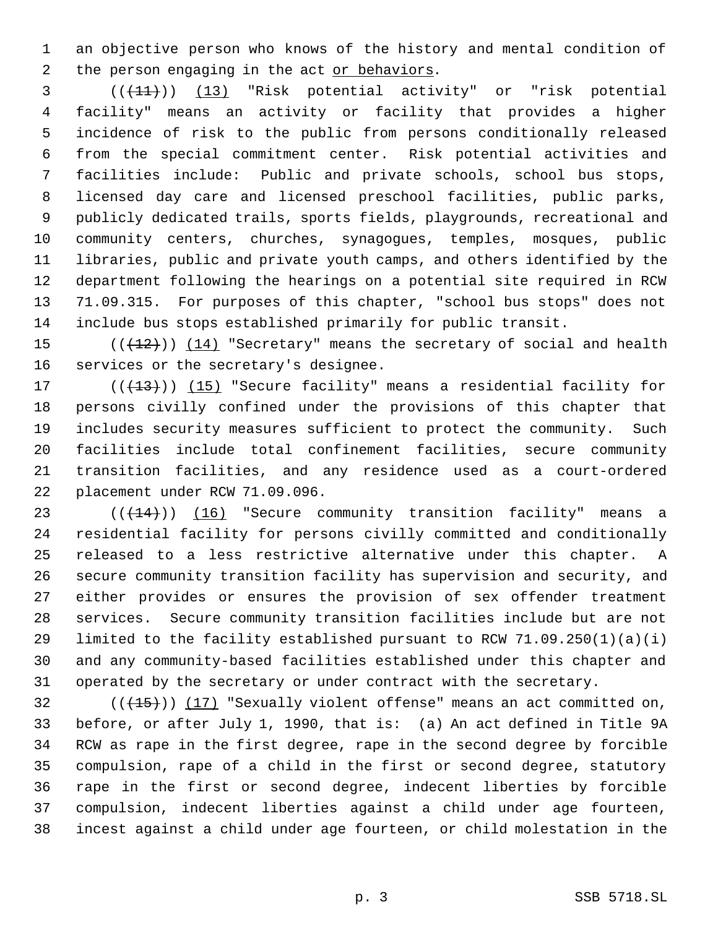an objective person who knows of the history and mental condition of 2 the person engaging in the act or behaviors.

 ( $(\overline{+11})$ ) (13) "Risk potential activity" or "risk potential facility" means an activity or facility that provides a higher incidence of risk to the public from persons conditionally released from the special commitment center. Risk potential activities and facilities include: Public and private schools, school bus stops, licensed day care and licensed preschool facilities, public parks, publicly dedicated trails, sports fields, playgrounds, recreational and community centers, churches, synagogues, temples, mosques, public libraries, public and private youth camps, and others identified by the department following the hearings on a potential site required in RCW 71.09.315. For purposes of this chapter, "school bus stops" does not include bus stops established primarily for public transit.

15  $((+12))$   $(14)$  "Secretary" means the secretary of social and health services or the secretary's designee.

17 (((13))) (15) "Secure facility" means a residential facility for persons civilly confined under the provisions of this chapter that includes security measures sufficient to protect the community. Such facilities include total confinement facilities, secure community transition facilities, and any residence used as a court-ordered placement under RCW 71.09.096.

23 (( $(14)$ )) (16) "Secure community transition facility" means a residential facility for persons civilly committed and conditionally released to a less restrictive alternative under this chapter. A secure community transition facility has supervision and security, and either provides or ensures the provision of sex offender treatment services. Secure community transition facilities include but are not 29 limited to the facility established pursuant to RCW  $71.09.250(1)(a)(i)$  and any community-based facilities established under this chapter and operated by the secretary or under contract with the secretary.

 $(1, 15)$ ) (17) "Sexually violent offense" means an act committed on, before, or after July 1, 1990, that is: (a) An act defined in Title 9A RCW as rape in the first degree, rape in the second degree by forcible compulsion, rape of a child in the first or second degree, statutory rape in the first or second degree, indecent liberties by forcible compulsion, indecent liberties against a child under age fourteen, incest against a child under age fourteen, or child molestation in the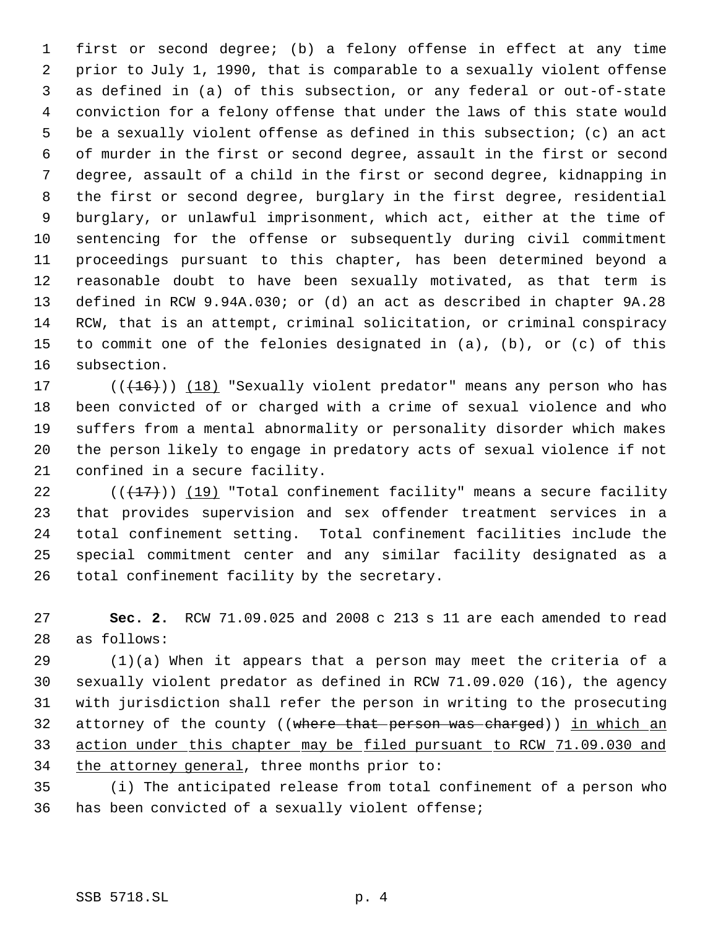first or second degree; (b) a felony offense in effect at any time prior to July 1, 1990, that is comparable to a sexually violent offense as defined in (a) of this subsection, or any federal or out-of-state conviction for a felony offense that under the laws of this state would be a sexually violent offense as defined in this subsection; (c) an act of murder in the first or second degree, assault in the first or second degree, assault of a child in the first or second degree, kidnapping in the first or second degree, burglary in the first degree, residential burglary, or unlawful imprisonment, which act, either at the time of sentencing for the offense or subsequently during civil commitment proceedings pursuant to this chapter, has been determined beyond a reasonable doubt to have been sexually motivated, as that term is defined in RCW 9.94A.030; or (d) an act as described in chapter 9A.28 RCW, that is an attempt, criminal solicitation, or criminal conspiracy to commit one of the felonies designated in (a), (b), or (c) of this subsection.

17 (((+16))) (18) "Sexually violent predator" means any person who has been convicted of or charged with a crime of sexual violence and who suffers from a mental abnormality or personality disorder which makes the person likely to engage in predatory acts of sexual violence if not confined in a secure facility.

 $((+17))$   $(19)$  "Total confinement facility" means a secure facility that provides supervision and sex offender treatment services in a total confinement setting. Total confinement facilities include the special commitment center and any similar facility designated as a total confinement facility by the secretary.

 **Sec. 2.** RCW 71.09.025 and 2008 c 213 s 11 are each amended to read as follows:

 (1)(a) When it appears that a person may meet the criteria of a sexually violent predator as defined in RCW 71.09.020 (16), the agency with jurisdiction shall refer the person in writing to the prosecuting 32 attorney of the county ((where that person was charged)) in which an action under this chapter may be filed pursuant to RCW 71.09.030 and 34 the attorney general, three months prior to:

 (i) The anticipated release from total confinement of a person who has been convicted of a sexually violent offense;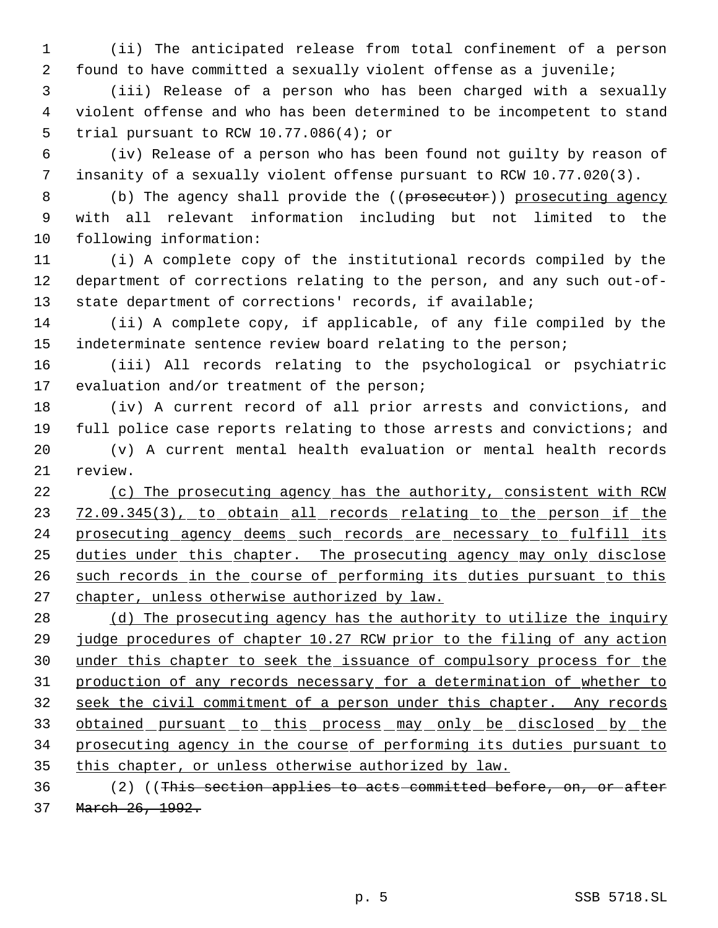(ii) The anticipated release from total confinement of a person found to have committed a sexually violent offense as a juvenile;

 (iii) Release of a person who has been charged with a sexually violent offense and who has been determined to be incompetent to stand trial pursuant to RCW 10.77.086(4); or

 (iv) Release of a person who has been found not guilty by reason of insanity of a sexually violent offense pursuant to RCW 10.77.020(3).

8 (b) The agency shall provide the ((prosecutor)) prosecuting agency with all relevant information including but not limited to the following information:

 (i) A complete copy of the institutional records compiled by the department of corrections relating to the person, and any such out-of-state department of corrections' records, if available;

 (ii) A complete copy, if applicable, of any file compiled by the 15 indeterminate sentence review board relating to the person;

 (iii) All records relating to the psychological or psychiatric evaluation and/or treatment of the person;

 (iv) A current record of all prior arrests and convictions, and full police case reports relating to those arrests and convictions; and

 (v) A current mental health evaluation or mental health records review.

22 (c) The prosecuting agency has the authority, consistent with RCW 23 72.09.345(3), to obtain all records relating to the person if the 24 prosecuting agency deems such records are necessary to fulfill its 25 duties under this chapter. The prosecuting agency may only disclose 26 such records in the course of performing its duties pursuant to this 27 chapter, unless otherwise authorized by law.

28 (d) The prosecuting agency has the authority to utilize the inquiry judge procedures of chapter 10.27 RCW prior to the filing of any action under this chapter to seek the issuance of compulsory process for the production of any records necessary for a determination of whether to seek the civil commitment of a person under this chapter. Any records 33 obtained pursuant to this process may only be disclosed by the prosecuting agency in the course of performing its duties pursuant to 35 this chapter, or unless otherwise authorized by law.

 (2) ((This section applies to acts committed before, on, or after March 26, 1992.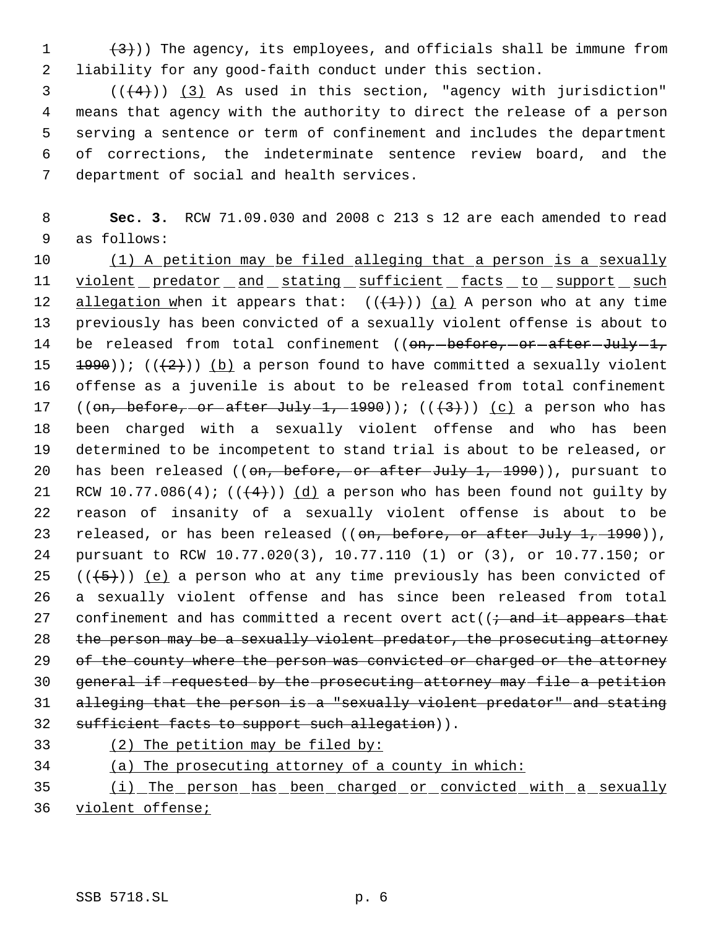$(3)$ )) The agency, its employees, and officials shall be immune from liability for any good-faith conduct under this section.

 ( $(\frac{4}{4})$ ) (3) As used in this section, "agency with jurisdiction" means that agency with the authority to direct the release of a person serving a sentence or term of confinement and includes the department of corrections, the indeterminate sentence review board, and the department of social and health services.

 **Sec. 3.** RCW 71.09.030 and 2008 c 213 s 12 are each amended to read as follows:

 (1) A petition may be filed alleging that a person is a sexually 11 violent predator and stating sufficient facts to support such 12 allegation when it appears that:  $((+1))$   $(a)$  A person who at any time previously has been convicted of a sexually violent offense is about to 14 be released from total confinement ((on, before, or after July 1, 15  $\pm 990$ )); (( $\pm 2$ ))) (b) a person found to have committed a sexually violent offense as a juvenile is about to be released from total confinement 17 ((on, before, or after July 1, 1990));  $((+3))$  (c) a person who has been charged with a sexually violent offense and who has been determined to be incompetent to stand trial is about to be released, or 20 has been released ((on, before, or after July 1, 1990)), pursuant to 21 RCW 10.77.086(4);  $((+4))$   $(d)$  a person who has been found not guilty by reason of insanity of a sexually violent offense is about to be 23 released, or has been released ((on, before, or after July 1, 1990)), pursuant to RCW 10.77.020(3), 10.77.110 (1) or (3), or 10.77.150; or 25  $((+5))$  (e) a person who at any time previously has been convicted of a sexually violent offense and has since been released from total 27 confinement and has committed a recent overt  $act((\div and it appears that$  the person may be a sexually violent predator, the prosecuting attorney 29 of the county where the person was convicted or charged or the attorney general if requested by the prosecuting attorney may file a petition alleging that the person is a "sexually violent predator" and stating 32 sufficient facts to support such allegation)). (2) The petition may be filed by:

(a) The prosecuting attorney of a county in which:

 (i) The person has been charged or convicted with a sexually violent offense;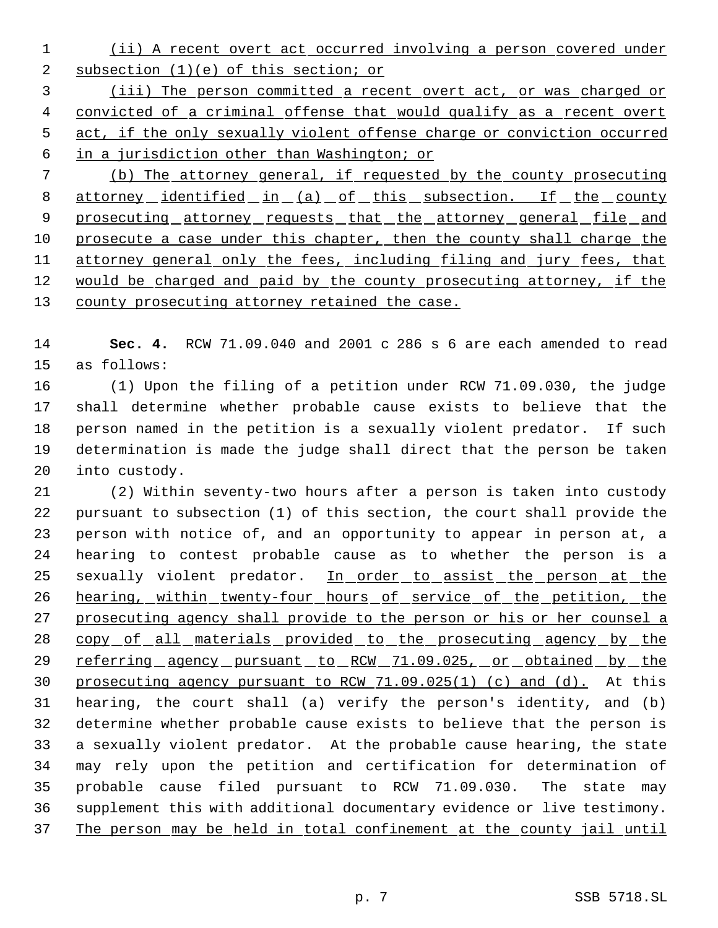(ii) A recent overt act occurred involving a person covered under 2 subsection (1)(e) of this section; or

 (iii) The person committed a recent overt act, or was charged or 4 convicted of a criminal offense that would qualify as a recent overt act, if the only sexually violent offense charge or conviction occurred in a jurisdiction other than Washington; or

 (b) The attorney general, if requested by the county prosecuting 8 attorney identified in (a) of this subsection. If the county 9 prosecuting attorney requests that the attorney general file and 10 prosecute a case under this chapter, then the county shall charge the 11 attorney general only the fees, including filing and jury fees, that 12 would be charged and paid by the county prosecuting attorney, if the 13 county prosecuting attorney retained the case.

 **Sec. 4.** RCW 71.09.040 and 2001 c 286 s 6 are each amended to read as follows:

 (1) Upon the filing of a petition under RCW 71.09.030, the judge shall determine whether probable cause exists to believe that the person named in the petition is a sexually violent predator. If such determination is made the judge shall direct that the person be taken into custody.

 (2) Within seventy-two hours after a person is taken into custody pursuant to subsection (1) of this section, the court shall provide the person with notice of, and an opportunity to appear in person at, a hearing to contest probable cause as to whether the person is a 25 sexually violent predator. In order to assist the person at the 26 hearing, within twenty-four hours of service of the petition, the prosecuting agency shall provide to the person or his or her counsel a 28 copy of all materials provided to the prosecuting agency by the 29 referring agency pursuant to RCW 71.09.025, or obtained by the prosecuting agency pursuant to RCW 71.09.025(1) (c) and (d). At this hearing, the court shall (a) verify the person's identity, and (b) determine whether probable cause exists to believe that the person is a sexually violent predator. At the probable cause hearing, the state may rely upon the petition and certification for determination of probable cause filed pursuant to RCW 71.09.030. The state may supplement this with additional documentary evidence or live testimony. The person may be held in total confinement at the county jail until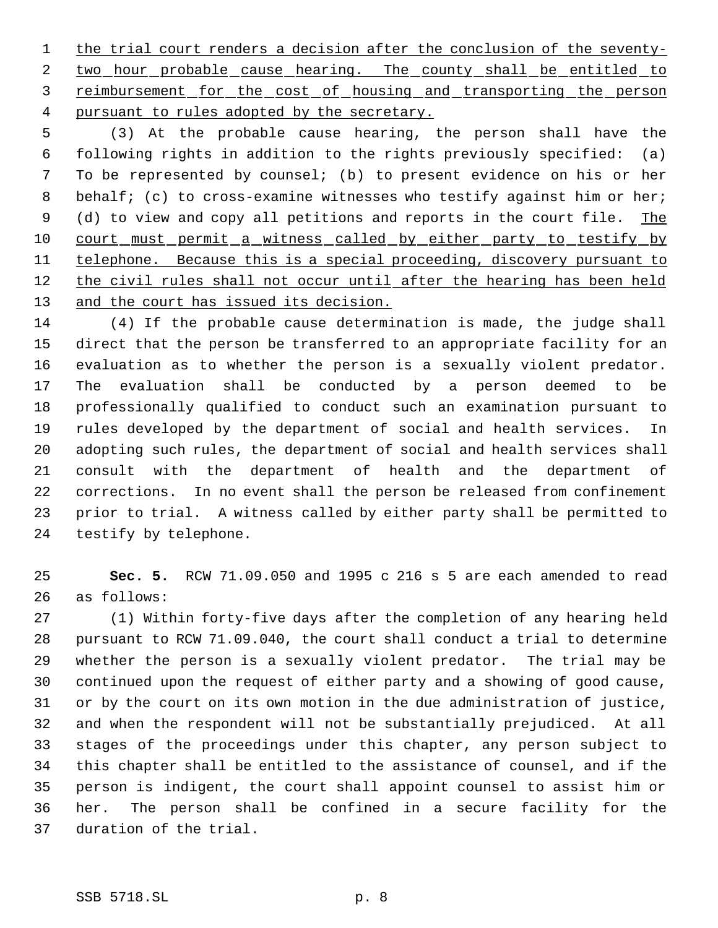1 the trial court renders a decision after the conclusion of the seventy-2 two hour probable cause hearing. The county shall be entitled to 3 reimbursement for the cost of housing and transporting the person pursuant to rules adopted by the secretary.

 (3) At the probable cause hearing, the person shall have the following rights in addition to the rights previously specified: (a) To be represented by counsel; (b) to present evidence on his or her 8 behalf; (c) to cross-examine witnesses who testify against him or her; 9 (d) to view and copy all petitions and reports in the court file. The 10 court must permit a witness called by either party to testify by 11 telephone. Because this is a special proceeding, discovery pursuant to 12 the civil rules shall not occur until after the hearing has been held 13 and the court has issued its decision.

 (4) If the probable cause determination is made, the judge shall direct that the person be transferred to an appropriate facility for an evaluation as to whether the person is a sexually violent predator. The evaluation shall be conducted by a person deemed to be professionally qualified to conduct such an examination pursuant to rules developed by the department of social and health services. In adopting such rules, the department of social and health services shall consult with the department of health and the department of corrections. In no event shall the person be released from confinement prior to trial. A witness called by either party shall be permitted to testify by telephone.

 **Sec. 5.** RCW 71.09.050 and 1995 c 216 s 5 are each amended to read as follows:

 (1) Within forty-five days after the completion of any hearing held pursuant to RCW 71.09.040, the court shall conduct a trial to determine whether the person is a sexually violent predator. The trial may be continued upon the request of either party and a showing of good cause, or by the court on its own motion in the due administration of justice, and when the respondent will not be substantially prejudiced. At all stages of the proceedings under this chapter, any person subject to this chapter shall be entitled to the assistance of counsel, and if the person is indigent, the court shall appoint counsel to assist him or her. The person shall be confined in a secure facility for the duration of the trial.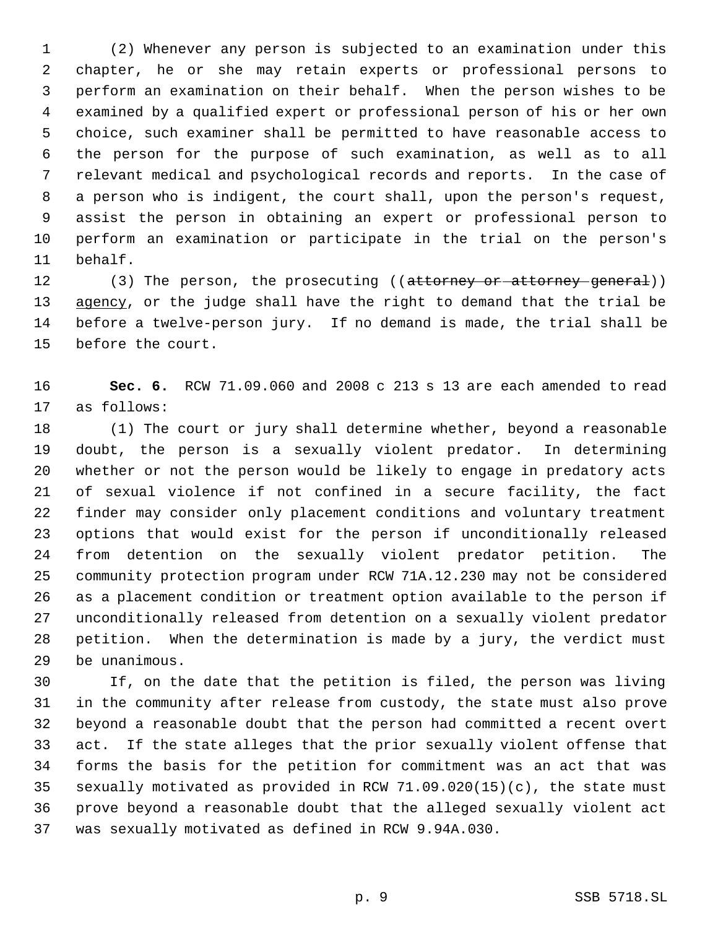(2) Whenever any person is subjected to an examination under this chapter, he or she may retain experts or professional persons to perform an examination on their behalf. When the person wishes to be examined by a qualified expert or professional person of his or her own choice, such examiner shall be permitted to have reasonable access to the person for the purpose of such examination, as well as to all relevant medical and psychological records and reports. In the case of a person who is indigent, the court shall, upon the person's request, assist the person in obtaining an expert or professional person to perform an examination or participate in the trial on the person's behalf.

12 (3) The person, the prosecuting ((attorney or attorney general)) 13 agency, or the judge shall have the right to demand that the trial be before a twelve-person jury. If no demand is made, the trial shall be before the court.

 **Sec. 6.** RCW 71.09.060 and 2008 c 213 s 13 are each amended to read as follows:

 (1) The court or jury shall determine whether, beyond a reasonable doubt, the person is a sexually violent predator. In determining whether or not the person would be likely to engage in predatory acts of sexual violence if not confined in a secure facility, the fact finder may consider only placement conditions and voluntary treatment options that would exist for the person if unconditionally released from detention on the sexually violent predator petition. The community protection program under RCW 71A.12.230 may not be considered as a placement condition or treatment option available to the person if unconditionally released from detention on a sexually violent predator petition. When the determination is made by a jury, the verdict must be unanimous.

 If, on the date that the petition is filed, the person was living in the community after release from custody, the state must also prove beyond a reasonable doubt that the person had committed a recent overt act. If the state alleges that the prior sexually violent offense that forms the basis for the petition for commitment was an act that was sexually motivated as provided in RCW 71.09.020(15)(c), the state must prove beyond a reasonable doubt that the alleged sexually violent act was sexually motivated as defined in RCW 9.94A.030.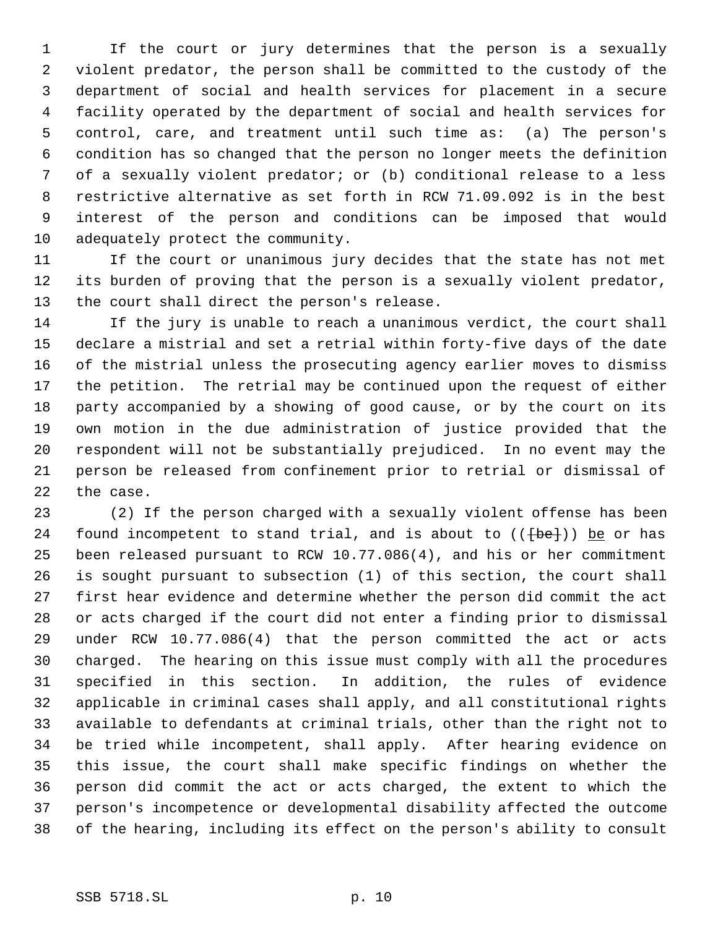If the court or jury determines that the person is a sexually violent predator, the person shall be committed to the custody of the department of social and health services for placement in a secure facility operated by the department of social and health services for control, care, and treatment until such time as: (a) The person's condition has so changed that the person no longer meets the definition of a sexually violent predator; or (b) conditional release to a less restrictive alternative as set forth in RCW 71.09.092 is in the best interest of the person and conditions can be imposed that would adequately protect the community.

 If the court or unanimous jury decides that the state has not met its burden of proving that the person is a sexually violent predator, the court shall direct the person's release.

 If the jury is unable to reach a unanimous verdict, the court shall declare a mistrial and set a retrial within forty-five days of the date of the mistrial unless the prosecuting agency earlier moves to dismiss the petition. The retrial may be continued upon the request of either party accompanied by a showing of good cause, or by the court on its own motion in the due administration of justice provided that the respondent will not be substantially prejudiced. In no event may the person be released from confinement prior to retrial or dismissal of the case.

 (2) If the person charged with a sexually violent offense has been 24 found incompetent to stand trial, and is about to  $((+be+))$  be or has been released pursuant to RCW 10.77.086(4), and his or her commitment is sought pursuant to subsection (1) of this section, the court shall first hear evidence and determine whether the person did commit the act or acts charged if the court did not enter a finding prior to dismissal under RCW 10.77.086(4) that the person committed the act or acts charged. The hearing on this issue must comply with all the procedures specified in this section. In addition, the rules of evidence applicable in criminal cases shall apply, and all constitutional rights available to defendants at criminal trials, other than the right not to be tried while incompetent, shall apply. After hearing evidence on this issue, the court shall make specific findings on whether the person did commit the act or acts charged, the extent to which the person's incompetence or developmental disability affected the outcome of the hearing, including its effect on the person's ability to consult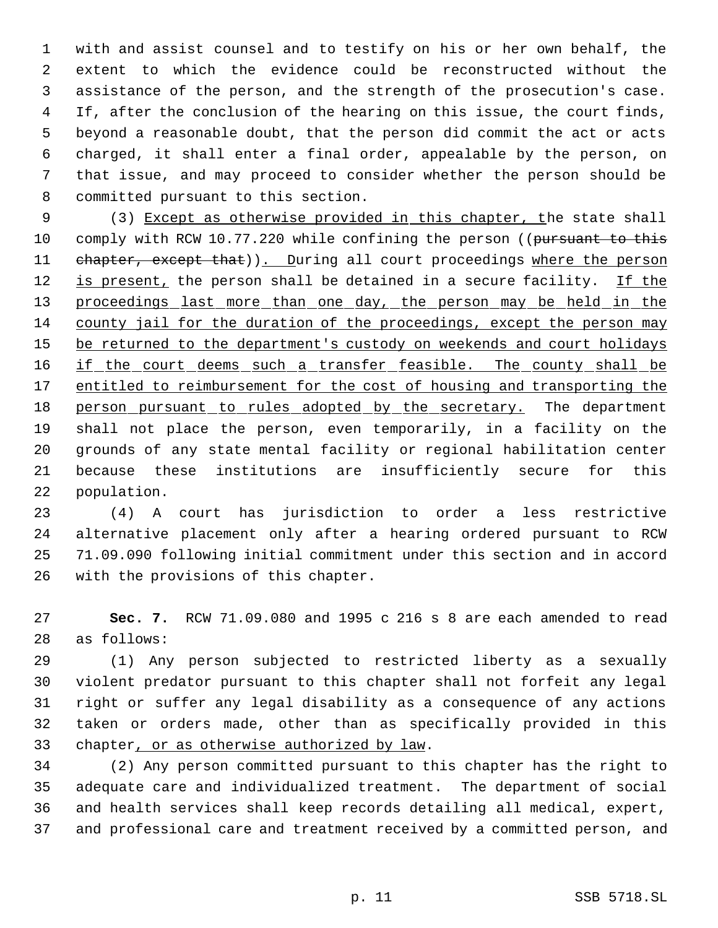with and assist counsel and to testify on his or her own behalf, the extent to which the evidence could be reconstructed without the assistance of the person, and the strength of the prosecution's case. If, after the conclusion of the hearing on this issue, the court finds, beyond a reasonable doubt, that the person did commit the act or acts charged, it shall enter a final order, appealable by the person, on that issue, and may proceed to consider whether the person should be committed pursuant to this section.

9 (3) Except as otherwise provided in this chapter, the state shall 10 comply with RCW 10.77.220 while confining the person ((pursuant to this 11 chapter, except that)). During all court proceedings where the person 12 is present, the person shall be detained in a secure facility. If the 13 proceedings last more than one day, the person may be held in the county jail for the duration of the proceedings, except the person may 15 be returned to the department's custody on weekends and court holidays 16 if the court deems such a transfer feasible. The county shall be 17 entitled to reimbursement for the cost of housing and transporting the 18 person pursuant to rules adopted by the secretary. The department shall not place the person, even temporarily, in a facility on the grounds of any state mental facility or regional habilitation center because these institutions are insufficiently secure for this population.

 (4) A court has jurisdiction to order a less restrictive alternative placement only after a hearing ordered pursuant to RCW 71.09.090 following initial commitment under this section and in accord with the provisions of this chapter.

 **Sec. 7.** RCW 71.09.080 and 1995 c 216 s 8 are each amended to read as follows:

 (1) Any person subjected to restricted liberty as a sexually violent predator pursuant to this chapter shall not forfeit any legal right or suffer any legal disability as a consequence of any actions taken or orders made, other than as specifically provided in this 33 chapter, or as otherwise authorized by law.

 (2) Any person committed pursuant to this chapter has the right to adequate care and individualized treatment. The department of social and health services shall keep records detailing all medical, expert, and professional care and treatment received by a committed person, and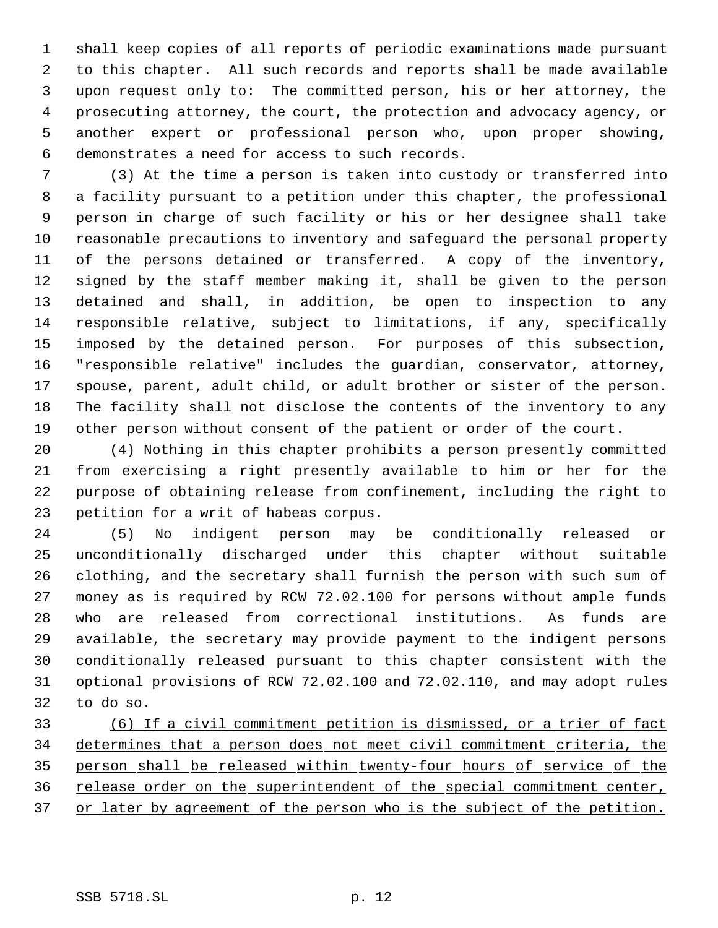shall keep copies of all reports of periodic examinations made pursuant to this chapter. All such records and reports shall be made available upon request only to: The committed person, his or her attorney, the prosecuting attorney, the court, the protection and advocacy agency, or another expert or professional person who, upon proper showing, demonstrates a need for access to such records.

 (3) At the time a person is taken into custody or transferred into a facility pursuant to a petition under this chapter, the professional person in charge of such facility or his or her designee shall take reasonable precautions to inventory and safeguard the personal property of the persons detained or transferred. A copy of the inventory, signed by the staff member making it, shall be given to the person detained and shall, in addition, be open to inspection to any responsible relative, subject to limitations, if any, specifically imposed by the detained person. For purposes of this subsection, "responsible relative" includes the guardian, conservator, attorney, spouse, parent, adult child, or adult brother or sister of the person. The facility shall not disclose the contents of the inventory to any other person without consent of the patient or order of the court.

 (4) Nothing in this chapter prohibits a person presently committed from exercising a right presently available to him or her for the purpose of obtaining release from confinement, including the right to petition for a writ of habeas corpus.

 (5) No indigent person may be conditionally released or unconditionally discharged under this chapter without suitable clothing, and the secretary shall furnish the person with such sum of money as is required by RCW 72.02.100 for persons without ample funds who are released from correctional institutions. As funds are available, the secretary may provide payment to the indigent persons conditionally released pursuant to this chapter consistent with the optional provisions of RCW 72.02.100 and 72.02.110, and may adopt rules to do so.

 (6) If a civil commitment petition is dismissed, or a trier of fact determines that a person does not meet civil commitment criteria, the person shall be released within twenty-four hours of service of the release order on the superintendent of the special commitment center, 37 or later by agreement of the person who is the subject of the petition.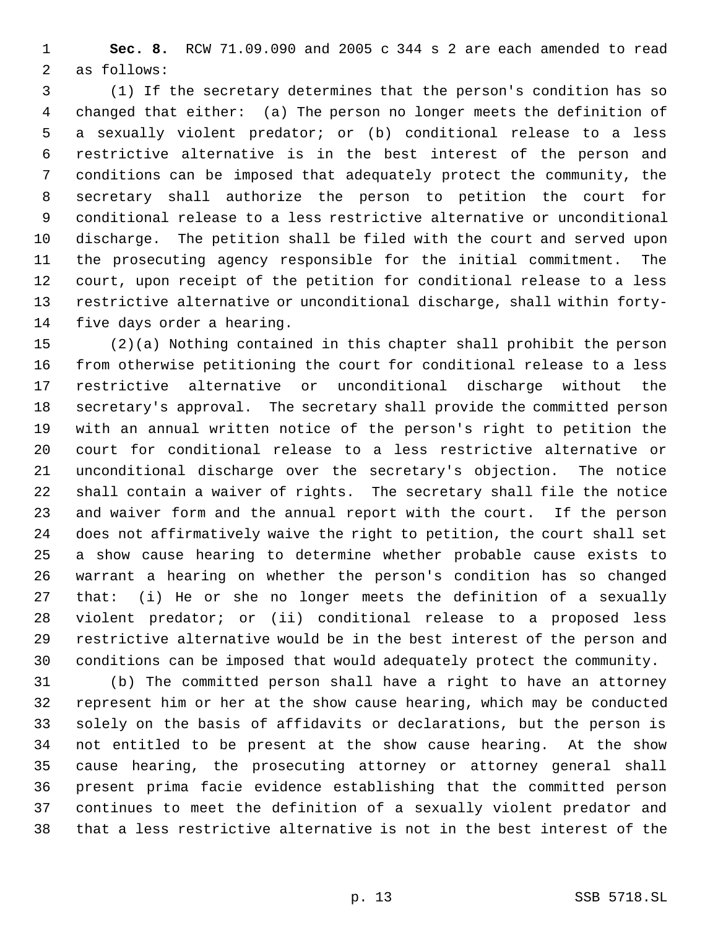**Sec. 8.** RCW 71.09.090 and 2005 c 344 s 2 are each amended to read as follows:

 (1) If the secretary determines that the person's condition has so changed that either: (a) The person no longer meets the definition of a sexually violent predator; or (b) conditional release to a less restrictive alternative is in the best interest of the person and conditions can be imposed that adequately protect the community, the secretary shall authorize the person to petition the court for conditional release to a less restrictive alternative or unconditional discharge. The petition shall be filed with the court and served upon the prosecuting agency responsible for the initial commitment. The court, upon receipt of the petition for conditional release to a less restrictive alternative or unconditional discharge, shall within forty-five days order a hearing.

 (2)(a) Nothing contained in this chapter shall prohibit the person from otherwise petitioning the court for conditional release to a less restrictive alternative or unconditional discharge without the secretary's approval. The secretary shall provide the committed person with an annual written notice of the person's right to petition the court for conditional release to a less restrictive alternative or unconditional discharge over the secretary's objection. The notice shall contain a waiver of rights. The secretary shall file the notice and waiver form and the annual report with the court. If the person does not affirmatively waive the right to petition, the court shall set a show cause hearing to determine whether probable cause exists to warrant a hearing on whether the person's condition has so changed that: (i) He or she no longer meets the definition of a sexually violent predator; or (ii) conditional release to a proposed less restrictive alternative would be in the best interest of the person and conditions can be imposed that would adequately protect the community.

 (b) The committed person shall have a right to have an attorney represent him or her at the show cause hearing, which may be conducted solely on the basis of affidavits or declarations, but the person is not entitled to be present at the show cause hearing. At the show cause hearing, the prosecuting attorney or attorney general shall present prima facie evidence establishing that the committed person continues to meet the definition of a sexually violent predator and that a less restrictive alternative is not in the best interest of the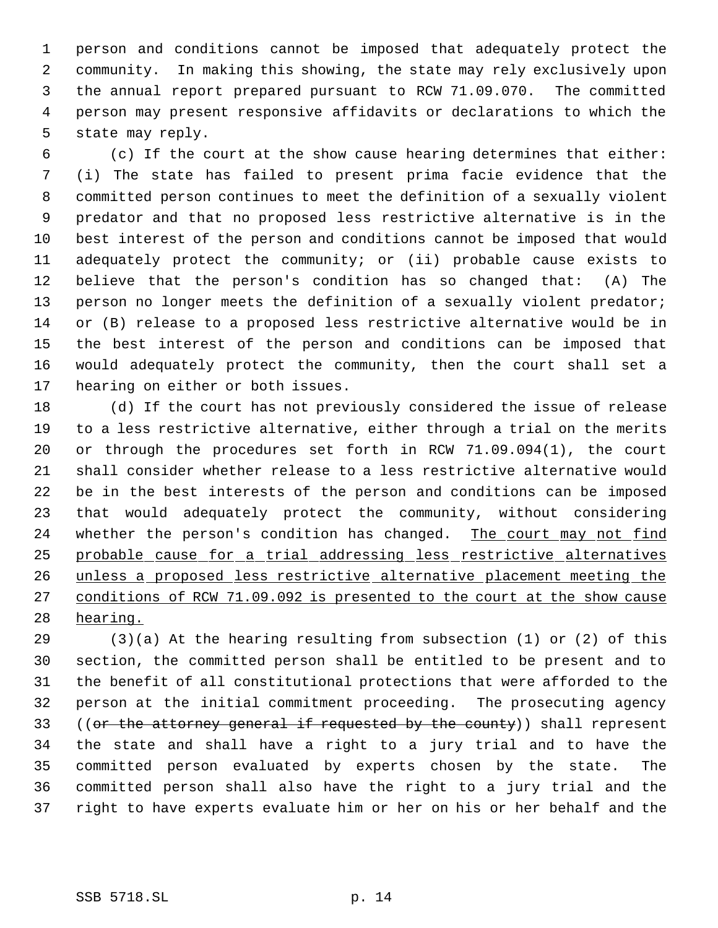person and conditions cannot be imposed that adequately protect the community. In making this showing, the state may rely exclusively upon the annual report prepared pursuant to RCW 71.09.070. The committed person may present responsive affidavits or declarations to which the state may reply.

 (c) If the court at the show cause hearing determines that either: (i) The state has failed to present prima facie evidence that the committed person continues to meet the definition of a sexually violent predator and that no proposed less restrictive alternative is in the best interest of the person and conditions cannot be imposed that would adequately protect the community; or (ii) probable cause exists to believe that the person's condition has so changed that: (A) The 13 person no longer meets the definition of a sexually violent predator; or (B) release to a proposed less restrictive alternative would be in the best interest of the person and conditions can be imposed that would adequately protect the community, then the court shall set a hearing on either or both issues.

 (d) If the court has not previously considered the issue of release to a less restrictive alternative, either through a trial on the merits or through the procedures set forth in RCW 71.09.094(1), the court shall consider whether release to a less restrictive alternative would be in the best interests of the person and conditions can be imposed that would adequately protect the community, without considering 24 whether the person's condition has changed. The court may not find probable cause for a trial addressing less restrictive alternatives unless a proposed less restrictive alternative placement meeting the conditions of RCW 71.09.092 is presented to the court at the show cause 28 hearing.

 (3)(a) At the hearing resulting from subsection (1) or (2) of this section, the committed person shall be entitled to be present and to the benefit of all constitutional protections that were afforded to the person at the initial commitment proceeding. The prosecuting agency 33 ((or the attorney general if requested by the county)) shall represent the state and shall have a right to a jury trial and to have the committed person evaluated by experts chosen by the state. The committed person shall also have the right to a jury trial and the right to have experts evaluate him or her on his or her behalf and the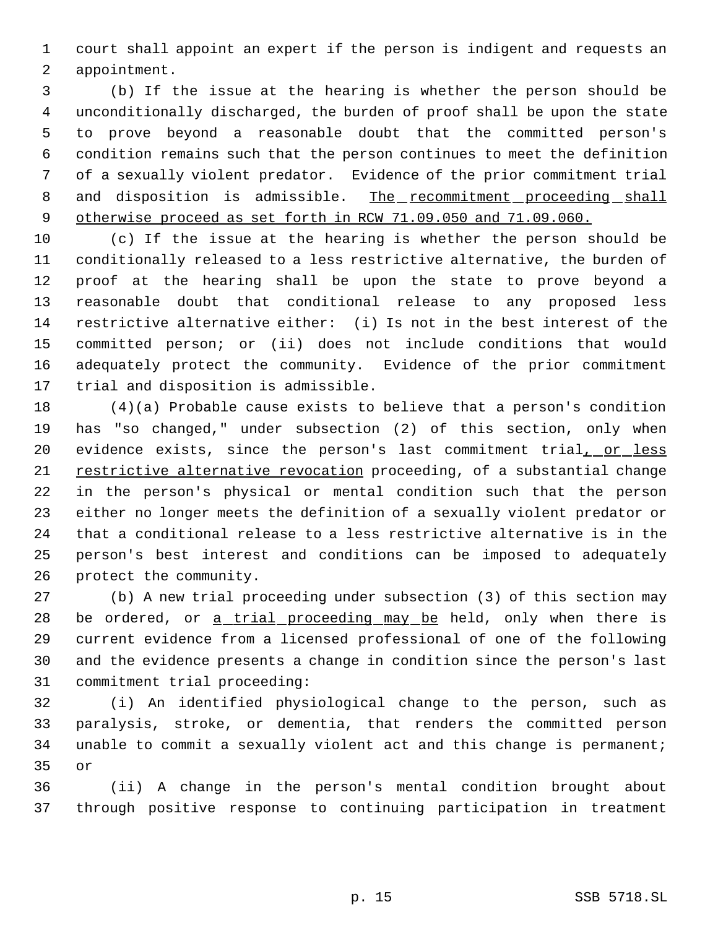court shall appoint an expert if the person is indigent and requests an appointment.

 (b) If the issue at the hearing is whether the person should be unconditionally discharged, the burden of proof shall be upon the state to prove beyond a reasonable doubt that the committed person's condition remains such that the person continues to meet the definition of a sexually violent predator. Evidence of the prior commitment trial 8 and disposition is admissible. The recommitment proceeding shall 9 otherwise proceed as set forth in RCW 71.09.050 and 71.09.060.

 (c) If the issue at the hearing is whether the person should be conditionally released to a less restrictive alternative, the burden of proof at the hearing shall be upon the state to prove beyond a reasonable doubt that conditional release to any proposed less restrictive alternative either: (i) Is not in the best interest of the committed person; or (ii) does not include conditions that would adequately protect the community. Evidence of the prior commitment trial and disposition is admissible.

 (4)(a) Probable cause exists to believe that a person's condition has "so changed," under subsection (2) of this section, only when 20 evidence exists, since the person's last commitment trial, or less restrictive alternative revocation proceeding, of a substantial change in the person's physical or mental condition such that the person either no longer meets the definition of a sexually violent predator or that a conditional release to a less restrictive alternative is in the person's best interest and conditions can be imposed to adequately protect the community.

 (b) A new trial proceeding under subsection (3) of this section may 28 be ordered, or <u>a trial proceeding may be</u> held, only when there is current evidence from a licensed professional of one of the following and the evidence presents a change in condition since the person's last commitment trial proceeding:

 (i) An identified physiological change to the person, such as paralysis, stroke, or dementia, that renders the committed person unable to commit a sexually violent act and this change is permanent; or

 (ii) A change in the person's mental condition brought about through positive response to continuing participation in treatment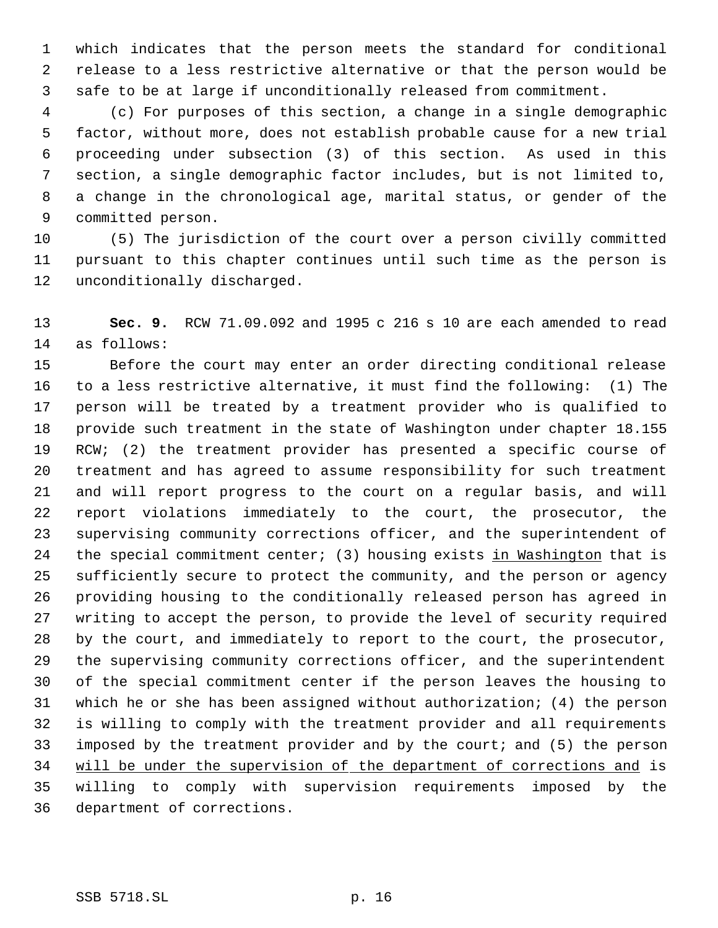which indicates that the person meets the standard for conditional release to a less restrictive alternative or that the person would be safe to be at large if unconditionally released from commitment.

 (c) For purposes of this section, a change in a single demographic factor, without more, does not establish probable cause for a new trial proceeding under subsection (3) of this section. As used in this section, a single demographic factor includes, but is not limited to, a change in the chronological age, marital status, or gender of the committed person.

 (5) The jurisdiction of the court over a person civilly committed pursuant to this chapter continues until such time as the person is unconditionally discharged.

 **Sec. 9.** RCW 71.09.092 and 1995 c 216 s 10 are each amended to read as follows:

 Before the court may enter an order directing conditional release to a less restrictive alternative, it must find the following: (1) The person will be treated by a treatment provider who is qualified to provide such treatment in the state of Washington under chapter 18.155 RCW; (2) the treatment provider has presented a specific course of treatment and has agreed to assume responsibility for such treatment and will report progress to the court on a regular basis, and will report violations immediately to the court, the prosecutor, the supervising community corrections officer, and the superintendent of 24 the special commitment center; (3) housing exists in Washington that is sufficiently secure to protect the community, and the person or agency providing housing to the conditionally released person has agreed in writing to accept the person, to provide the level of security required by the court, and immediately to report to the court, the prosecutor, the supervising community corrections officer, and the superintendent of the special commitment center if the person leaves the housing to which he or she has been assigned without authorization; (4) the person is willing to comply with the treatment provider and all requirements imposed by the treatment provider and by the court; and (5) the person will be under the supervision of the department of corrections and is willing to comply with supervision requirements imposed by the department of corrections.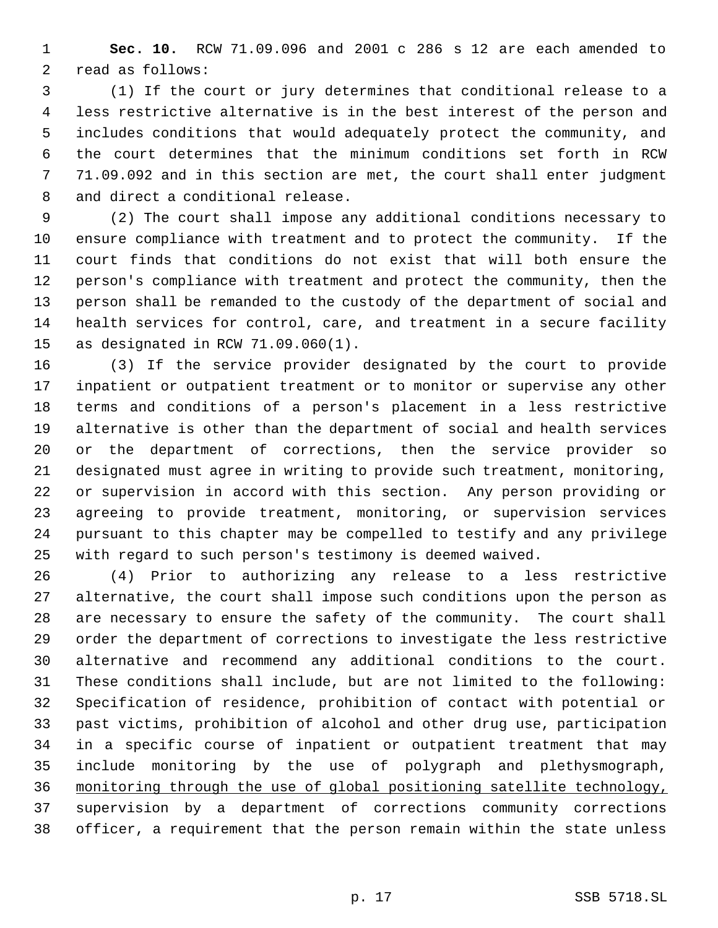**Sec. 10.** RCW 71.09.096 and 2001 c 286 s 12 are each amended to read as follows:

 (1) If the court or jury determines that conditional release to a less restrictive alternative is in the best interest of the person and includes conditions that would adequately protect the community, and the court determines that the minimum conditions set forth in RCW 71.09.092 and in this section are met, the court shall enter judgment and direct a conditional release.

 (2) The court shall impose any additional conditions necessary to ensure compliance with treatment and to protect the community. If the court finds that conditions do not exist that will both ensure the person's compliance with treatment and protect the community, then the person shall be remanded to the custody of the department of social and health services for control, care, and treatment in a secure facility as designated in RCW 71.09.060(1).

 (3) If the service provider designated by the court to provide inpatient or outpatient treatment or to monitor or supervise any other terms and conditions of a person's placement in a less restrictive alternative is other than the department of social and health services or the department of corrections, then the service provider so designated must agree in writing to provide such treatment, monitoring, or supervision in accord with this section. Any person providing or agreeing to provide treatment, monitoring, or supervision services pursuant to this chapter may be compelled to testify and any privilege with regard to such person's testimony is deemed waived.

 (4) Prior to authorizing any release to a less restrictive alternative, the court shall impose such conditions upon the person as are necessary to ensure the safety of the community. The court shall order the department of corrections to investigate the less restrictive alternative and recommend any additional conditions to the court. These conditions shall include, but are not limited to the following: Specification of residence, prohibition of contact with potential or past victims, prohibition of alcohol and other drug use, participation in a specific course of inpatient or outpatient treatment that may include monitoring by the use of polygraph and plethysmograph, monitoring through the use of global positioning satellite technology, supervision by a department of corrections community corrections officer, a requirement that the person remain within the state unless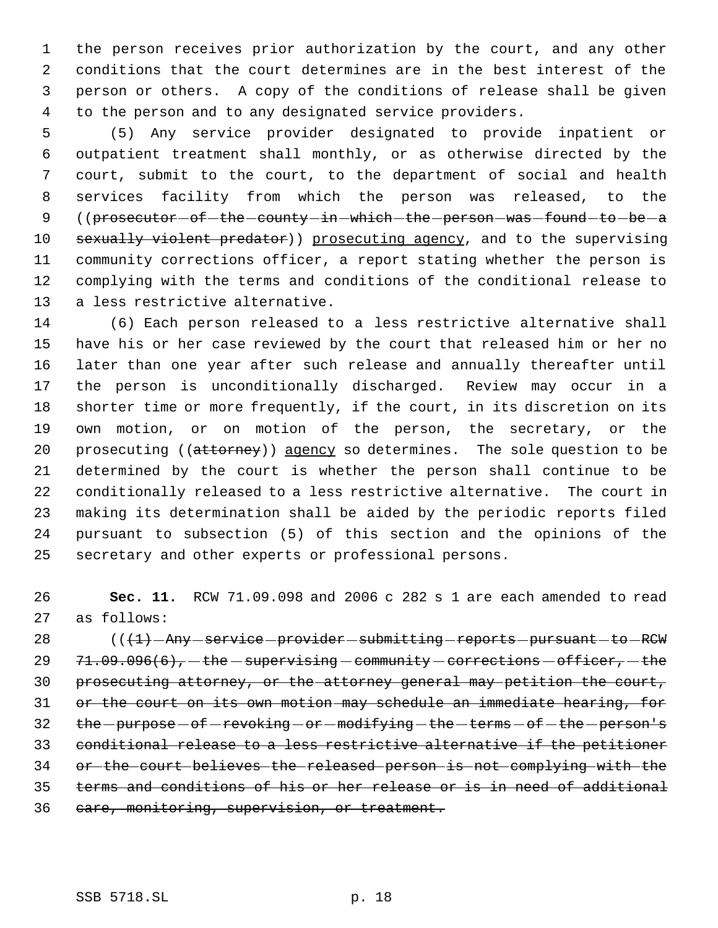the person receives prior authorization by the court, and any other conditions that the court determines are in the best interest of the person or others. A copy of the conditions of release shall be given to the person and to any designated service providers.

 (5) Any service provider designated to provide inpatient or outpatient treatment shall monthly, or as otherwise directed by the court, submit to the court, to the department of social and health services facility from which the person was released, to the 9 ((prosecutor - of - the - county - in - which - the - person - was - found - to - be - a 10 sexually violent predator)) prosecuting agency, and to the supervising community corrections officer, a report stating whether the person is complying with the terms and conditions of the conditional release to a less restrictive alternative.

 (6) Each person released to a less restrictive alternative shall have his or her case reviewed by the court that released him or her no later than one year after such release and annually thereafter until the person is unconditionally discharged. Review may occur in a shorter time or more frequently, if the court, in its discretion on its own motion, or on motion of the person, the secretary, or the 20 prosecuting ((attorney)) agency so determines. The sole question to be determined by the court is whether the person shall continue to be conditionally released to a less restrictive alternative. The court in making its determination shall be aided by the periodic reports filed pursuant to subsection (5) of this section and the opinions of the secretary and other experts or professional persons.

 **Sec. 11.** RCW 71.09.098 and 2006 c 282 s 1 are each amended to read as follows:

28 (( $\left(1\right)$  - Any - service - provider - submitting - reports - pursuant - to - RCW  $71.09.096(6)$ , the supervising community corrections  $-$  officer,  $-$  the 30 prosecuting attorney, or the attorney general may petition the court, or the court on its own motion may schedule an immediate hearing, for 32 the -purpose - of -revoking - or -modifying - the -terms - of - the -person's conditional release to a less restrictive alternative if the petitioner or the court believes the released person is not complying with the terms and conditions of his or her release or is in need of additional 36 care, monitoring, supervision, or treatment.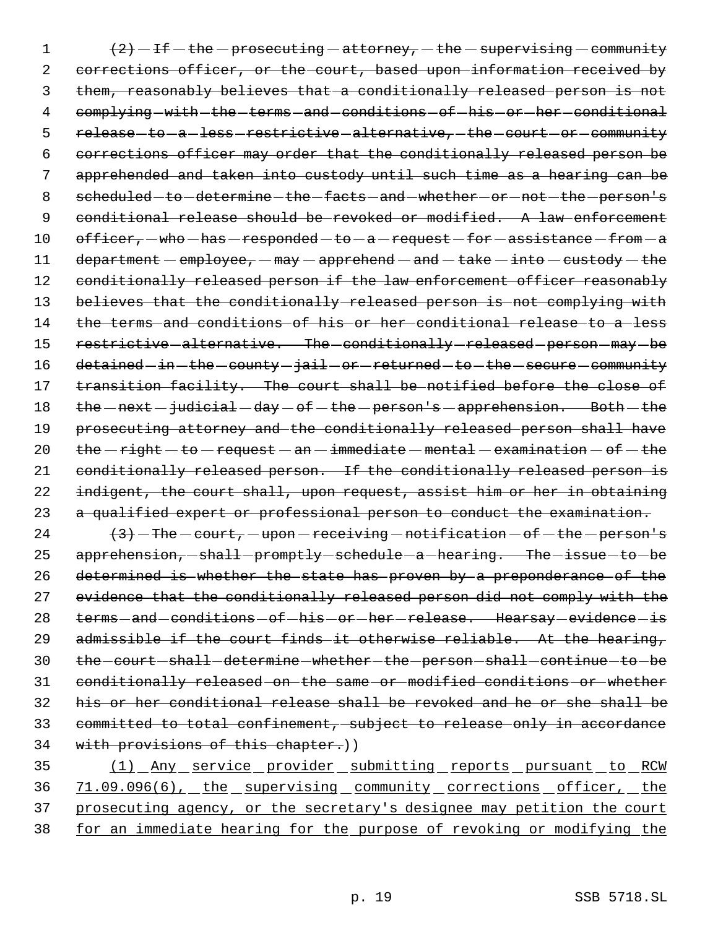1  $(2)$  - If - the - prosecuting - attorney, - the - supervising - community 2 corrections officer, or the court, based upon-information received by 3 them, reasonably believes that a conditionally released person is not 4 complying-with-the-terms-and-conditions-of-his-or-her-conditional 5 release-to-a-less-restrictive-alternative,-the-court-or-community 6 corrections officer may order that the conditionally released person be 7 apprehended and taken into custody until such time as a hearing can be 8 scheduled-to-determine-the-facts-and-whether-or-not-the-person's 9 conditional release should be revoked or modified. A law enforcement 10 officer,  $-w$ ho  $-h$ as  $-responded$   $-$  to  $-a$   $-$  request  $-$  for  $-a$  assistance  $-$  from  $-a$ 11 department  $-\frac{employee}{map} - \frac{map-rehend - \frac{and}{take} - \frac{into - \text{custody} - \text{the}}{the}$ 12 conditionally released person if the law enforcement officer reasonably 13 believes that the conditionally released person is not complying with 14 the terms and conditions of his or her conditional release to a less 15 restrictive-alternative. The-conditionally-released-person-may-be 16 detained in -the -county -jail -or -returned -to -the -secure -community 17 transition facility. The court shall be notified before the close of 18 the  $-$  next  $-$  judicial  $-$  day  $-$  of  $-$  the  $-$  person's  $-$  apprehension. Both  $-$  the 19 prosecuting attorney and the conditionally released person shall have 20  $the$  -right -to -request - an -immediate -mental - examination - of -the 21 conditionally released person. If the conditionally released person is 22 indigent, the court shall, upon request, assist him or her in obtaining 23 a qualified expert or professional person to conduct the examination.

 $(3)$  - The - court, - upon - receiving - notification - of - the - person's 25 apprehension, shall -promptly schedule - a hearing. The -issue - to - be determined is whether the state has proven by a preponderance of the evidence that the conditionally released person did not comply with the 28 terms-and-conditions-of-his-or-her-release. Hearsay-evidence-is admissible if the court finds it otherwise reliable. At the hearing, 30 the court shall determine whether the person shall continue to be conditionally released on the same or modified conditions or whether his or her conditional release shall be revoked and he or she shall be committed to total confinement, subject to release only in accordance 34 with provisions of this chapter.))

35 (1) Any service provider submitting reports pursuant to RCW 36 71.09.096(6), the supervising community corrections officer, the 37 prosecuting agency, or the secretary's designee may petition the court 38 for an immediate hearing for the purpose of revoking or modifying the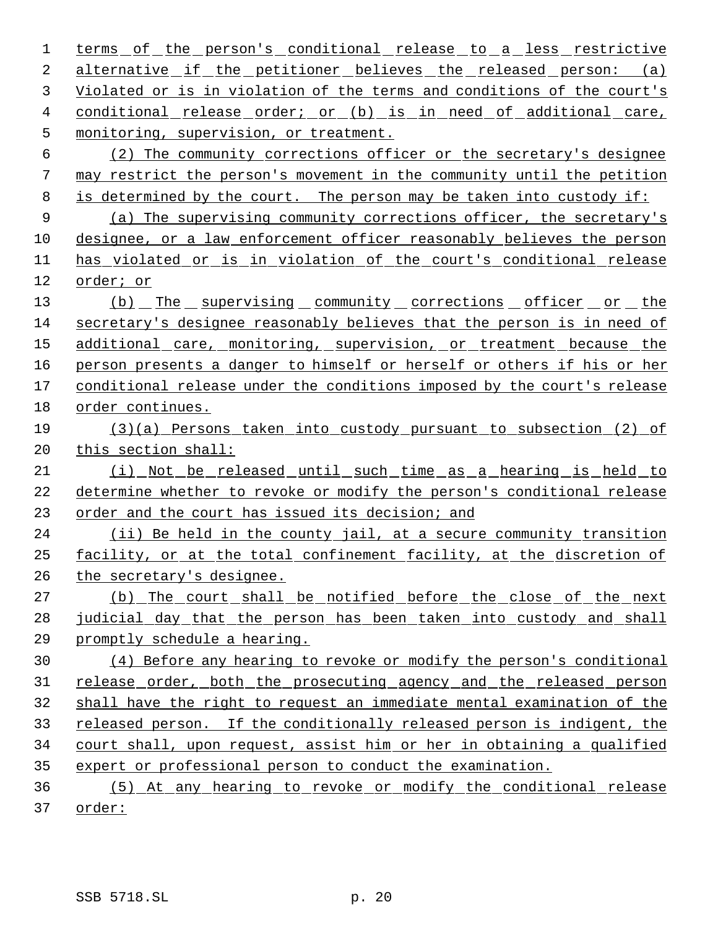1 terms of the person's conditional release to a less restrictive alternative if the petitioner believes the released person: (a) Violated or is in violation of the terms and conditions of the court's 4 conditional release order; or (b) is in need of additional care, monitoring, supervision, or treatment. (2) The community corrections officer or the secretary's designee may restrict the person's movement in the community until the petition is determined by the court. The person may be taken into custody if: (a) The supervising community corrections officer, the secretary's designee, or a law enforcement officer reasonably believes the person has violated or is in violation of the court's conditional release order; or 13 (b) The supervising community corrections officer or the secretary's designee reasonably believes that the person is in need of 15 additional care, monitoring, supervision, or treatment because the person presents a danger to himself or herself or others if his or her conditional release under the conditions imposed by the court's release order continues. (3)(a) Persons taken into custody pursuant to subsection (2) of this section shall: (i) Not be released until such time as a hearing is held to determine whether to revoke or modify the person's conditional release order and the court has issued its decision; and (ii) Be held in the county jail, at a secure community transition facility, or at the total confinement facility, at the discretion of the secretary's designee. 27 (b) The court shall be notified before the close of the next judicial day that the person has been taken into custody and shall promptly schedule a hearing. (4) Before any hearing to revoke or modify the person's conditional 31 release order, both the prosecuting agency and the released person shall have the right to request an immediate mental examination of the 33 released person. If the conditionally released person is indigent, the court shall, upon request, assist him or her in obtaining a qualified expert or professional person to conduct the examination. (5) At any hearing to revoke or modify the conditional release

order: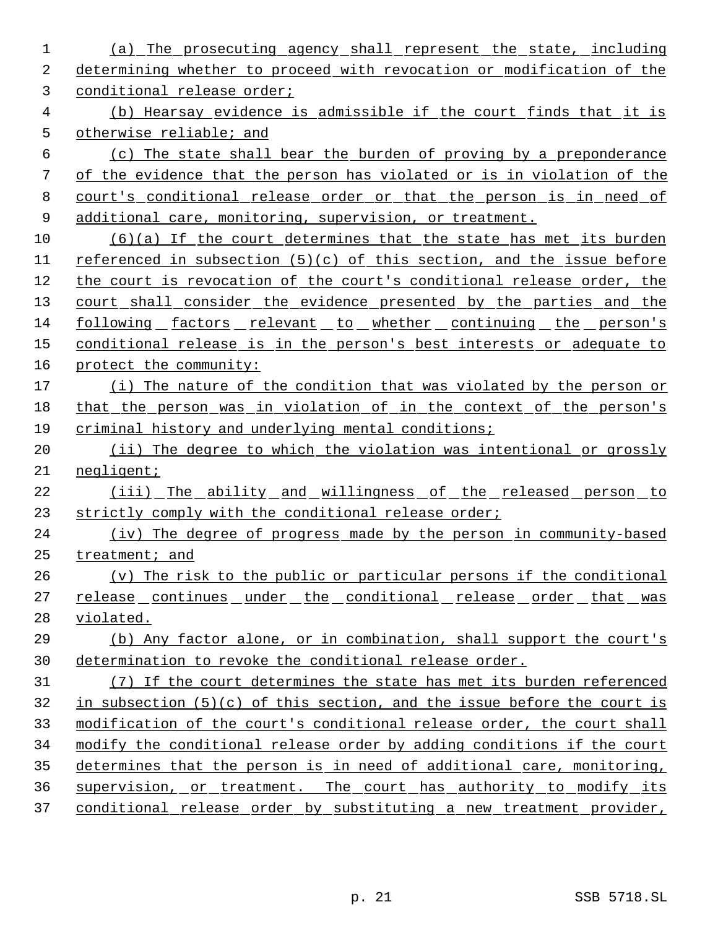(a) The prosecuting agency shall represent the state, including determining whether to proceed with revocation or modification of the conditional release order;

 (b) Hearsay evidence is admissible if the court finds that it is otherwise reliable; and

 (c) The state shall bear the burden of proving by a preponderance of the evidence that the person has violated or is in violation of the court's conditional release order or that the person is in need of additional care, monitoring, supervision, or treatment.

 (6)(a) If the court determines that the state has met its burden referenced in subsection (5)(c) of this section, and the issue before the court is revocation of the court's conditional release order, the 13 court shall consider the evidence presented by the parties and the following factors relevant to whether continuing the person's conditional release is in the person's best interests or adequate to protect the community:

 (i) The nature of the condition that was violated by the person or that the person was in violation of in the context of the person's criminal history and underlying mental conditions;

20 (ii) The degree to which the violation was intentional or grossly negligent;

 (iii) The ability and willingness of the released person to strictly comply with the conditional release order;

24 (iv) The degree of progress made by the person in community-based treatment; and

 (v) The risk to the public or particular persons if the conditional 27 release continues under the conditional release order that was violated.

 (b) Any factor alone, or in combination, shall support the court's determination to revoke the conditional release order.

 (7) If the court determines the state has met its burden referenced in subsection (5)(c) of this section, and the issue before the court is modification of the court's conditional release order, the court shall modify the conditional release order by adding conditions if the court determines that the person is in need of additional care, monitoring, supervision, or treatment. The court has authority to modify its 37 conditional release order by substituting a new treatment provider,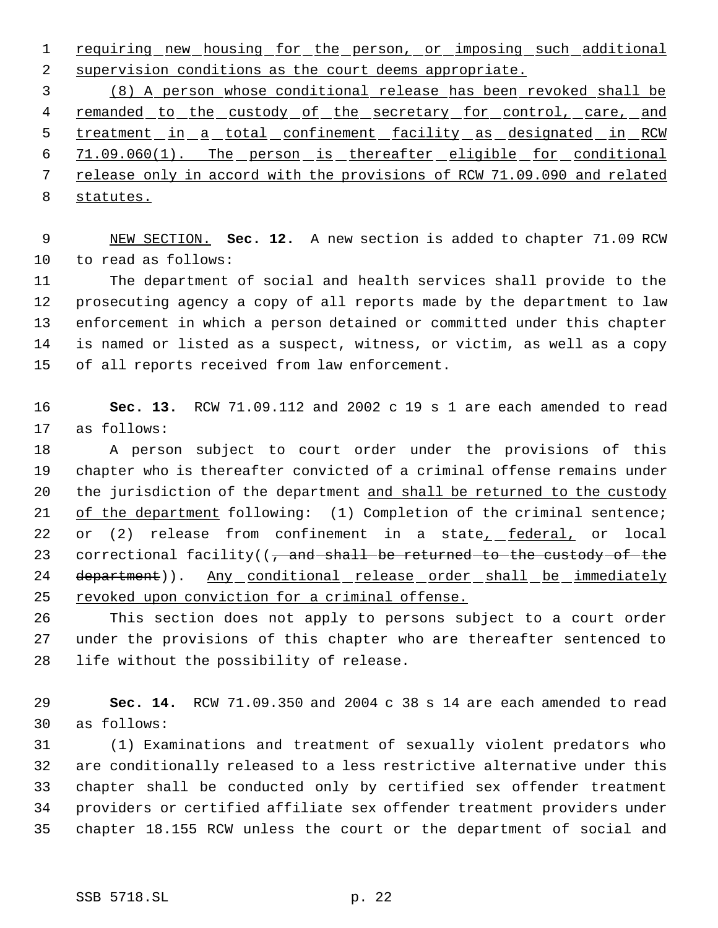requiring new housing for the person, or imposing such additional supervision conditions as the court deems appropriate.

 (8) A person whose conditional release has been revoked shall be 4 remanded to the custody of the secretary for control, care, and 5 treatment in a total confinement facility as designated in RCW 71.09.060(1). The person is thereafter eligible for conditional release only in accord with the provisions of RCW 71.09.090 and related statutes.

 NEW SECTION. **Sec. 12.** A new section is added to chapter 71.09 RCW to read as follows:

 The department of social and health services shall provide to the prosecuting agency a copy of all reports made by the department to law enforcement in which a person detained or committed under this chapter is named or listed as a suspect, witness, or victim, as well as a copy of all reports received from law enforcement.

 **Sec. 13.** RCW 71.09.112 and 2002 c 19 s 1 are each amended to read as follows:

 A person subject to court order under the provisions of this chapter who is thereafter convicted of a criminal offense remains under 20 the jurisdiction of the department and shall be returned to the custody 21 of the department following: (1) Completion of the criminal sentence; 22 or (2) release from confinement in a state<sub>r</sub> federal, or local 23 correctional facility( $\left(\frac{1}{2} + \frac{1}{2} + \frac{1}{2} + \frac{1}{2} + \frac{1}{2} + \frac{1}{2} + \frac{1}{2} + \frac{1}{2} + \frac{1}{2} + \frac{1}{2} + \frac{1}{2} + \frac{1}{2} + \frac{1}{2} + \frac{1}{2} + \frac{1}{2} + \frac{1}{2} + \frac{1}{2} + \frac{1}{2} + \frac{1}{2} + \frac{1}{2} + \frac{1}{2} + \frac{1}{2} + \frac{1}{2} + \frac{1}{2} + \$ 24 department)). Any conditional release order shall be immediately 25 revoked upon conviction for a criminal offense.

 This section does not apply to persons subject to a court order under the provisions of this chapter who are thereafter sentenced to life without the possibility of release.

 **Sec. 14.** RCW 71.09.350 and 2004 c 38 s 14 are each amended to read as follows:

 (1) Examinations and treatment of sexually violent predators who are conditionally released to a less restrictive alternative under this chapter shall be conducted only by certified sex offender treatment providers or certified affiliate sex offender treatment providers under chapter 18.155 RCW unless the court or the department of social and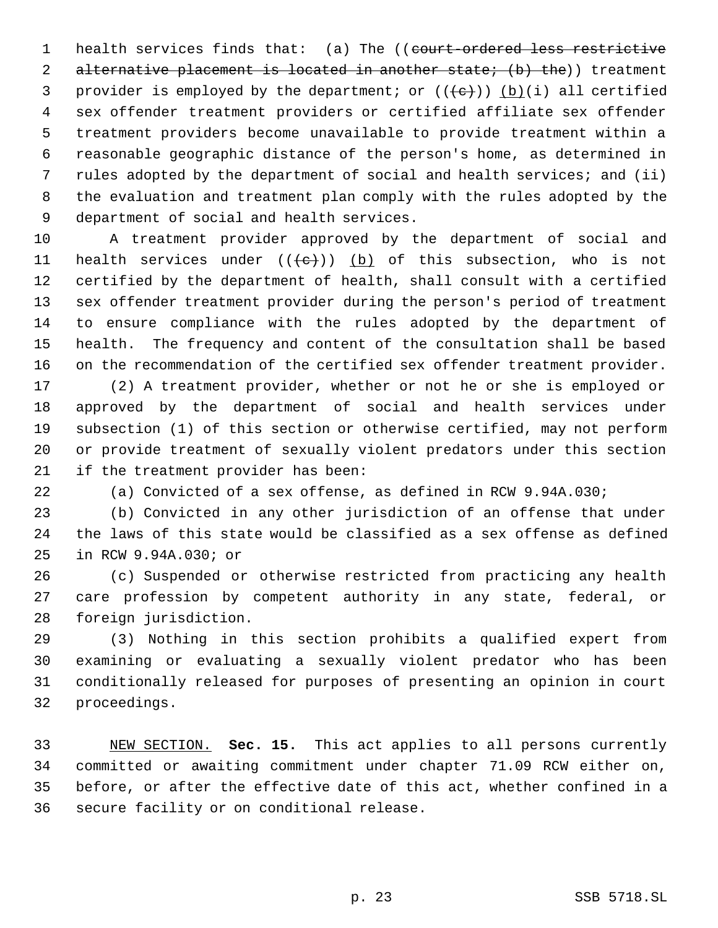1 health services finds that: (a) The ((court-ordered less restrictive 2 alternative placement is located in another state; (b) the)) treatment 3 provider is employed by the department; or  $((e+))$  (b)(i) all certified sex offender treatment providers or certified affiliate sex offender treatment providers become unavailable to provide treatment within a reasonable geographic distance of the person's home, as determined in rules adopted by the department of social and health services; and (ii) the evaluation and treatment plan comply with the rules adopted by the department of social and health services.

 A treatment provider approved by the department of social and 11 health services under  $((e+))$  (b) of this subsection, who is not certified by the department of health, shall consult with a certified sex offender treatment provider during the person's period of treatment to ensure compliance with the rules adopted by the department of health. The frequency and content of the consultation shall be based on the recommendation of the certified sex offender treatment provider.

 (2) A treatment provider, whether or not he or she is employed or approved by the department of social and health services under subsection (1) of this section or otherwise certified, may not perform or provide treatment of sexually violent predators under this section if the treatment provider has been:

(a) Convicted of a sex offense, as defined in RCW 9.94A.030;

 (b) Convicted in any other jurisdiction of an offense that under the laws of this state would be classified as a sex offense as defined in RCW 9.94A.030; or

 (c) Suspended or otherwise restricted from practicing any health care profession by competent authority in any state, federal, or foreign jurisdiction.

 (3) Nothing in this section prohibits a qualified expert from examining or evaluating a sexually violent predator who has been conditionally released for purposes of presenting an opinion in court proceedings.

 NEW SECTION. **Sec. 15.** This act applies to all persons currently committed or awaiting commitment under chapter 71.09 RCW either on, before, or after the effective date of this act, whether confined in a secure facility or on conditional release.